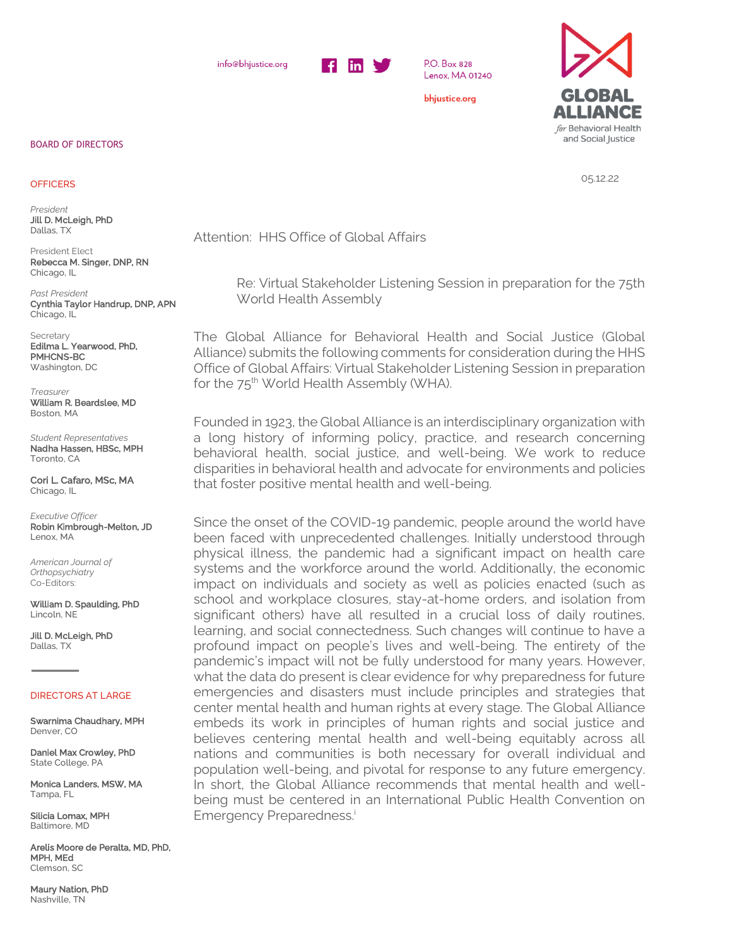info@bhjustice.org



P.O. Box 828 Lenox, MA 01240

bhjustice.org



05.12.22

Attention: HHS Office of Global Affairs

Re: Virtual Stakeholder Listening Session in preparation for the 75th World Health Assembly

The Global Alliance for Behavioral Health and Social Justice (Global Alliance) submits the following comments for consideration during the HHS Office of Global Affairs: Virtual Stakeholder Listening Session in preparation for the 75<sup>th</sup> World Health Assembly (WHA).

Founded in 1923, the Global Alliance is an interdisciplinary organization with a long history of informing policy, practice, and research concerning behavioral health, social justice, and well-being. We work to reduce disparities in behavioral health and advocate for environments and policies that foster positive mental health and well-being.

Since the onset of the COVID-19 pandemic, people around the world have been faced with unprecedented challenges. Initially understood through physical illness, the pandemic had a significant impact on health care systems and the workforce around the world. Additionally, the economic impact on individuals and society as well as policies enacted (such as school and workplace closures, stay-at-home orders, and isolation from significant others) have all resulted in a crucial loss of daily routines, learning, and social connectedness. Such changes will continue to have a profound impact on people's lives and well-being. The entirety of the pandemic's impact will not be fully understood for many years. However, what the data do present is clear evidence for why preparedness for future emergencies and disasters must include principles and strategies that center mental health and human rights at every stage. The Global Alliance embeds its work in principles of human rights and social justice and believes centering mental health and well-being equitably across all nations and communities is both necessary for overall individual and population well-being, and pivotal for response to any future emergency. In short, the Global Alliance recommends that mental health and wellbeing must be centered in an International Public Health Convention on Emergency Preparedness.<sup>i</sup>

## BOARD OF DIRECTORS

## **OFFICERS**

*President* Jill D. McLeigh, PhD Dallas, TX

President Elect Rebecca M. Singer, DNP, RN Chicago, IL

*Past President* Cynthia Taylor Handrup, DNP, APN Chicago, IL

Secretary Edilma L. Yearwood, PhD, PMHCNS-BC Washington, DC

*Treasurer*  William R. Beardslee, MD Boston, MA

*Student Representatives* Nadha Hassen, HBSc, MPH Toronto, CA

Cori L. Cafaro, MSc, MA Chicago, IL

*Executive Officer*  Robin Kimbrough-Melton, JD Lenox, MA

*American Journal of Orthopsychiatry*  Co-Editors:

William D. Spaulding, PhD Lincoln, NE

Jill D. McLeigh, PhD Dallas, TX

## DIRECTORS AT LARGE

Swarnima Chaudhary, MPH Denver, CO

Daniel Max Crowley, PhD State College, PA

Monica Landers, MSW, MA Tampa, FL

Silicia Lomax, MPH Baltimore, MD

Arelis Moore de Peralta, MD, PhD, MPH, MEd Clemson, SC

Maury Nation, PhD Nashville, TN